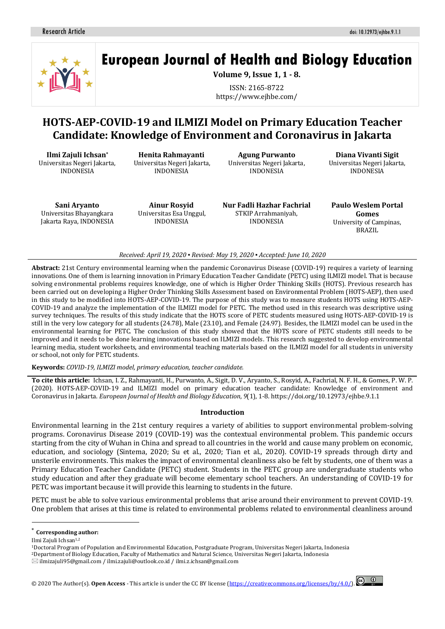

# **European Journal of Health and Biology Education**

**Volume 9, Issue 1, 1 - 8.**

ISSN: 2165-8722 https://www.ejhbe.com/

# **HOTS-AEP-COVID-19 and ILMIZI Model on Primary Education Teacher Candidate: Knowledge of Environment and Coronavirus in Jakarta**

**Ilmi Zajuli Ichsan\*** Universitas Negeri Jakarta, INDONESIA

**Henita Rahmayanti** Universitas Negeri Jakarta, INDONESIA

**Agung Purwanto** Universitas Negeri Jakarta, INDONESIA

**Diana Vivanti Sigit** Universitas Negeri Jakarta, INDONESIA

**Sani Aryanto** Universitas Bhayangkara Jakarta Raya, INDONESIA

**Ainur Rosyid** Universitas Esa Unggul, INDONESIA

**Nur Fadli Hazhar Fachrial** STKIP Arrahmaniyah, INDONESIA

**Paulo Weslem Portal Gomes** University of Campinas, BRAZIL

#### *Received: April 19, 2020 ▪ Revised: May 19, 2020 ▪ Accepted: June 10, 2020*

**Abstract:** 21st Century environmental learning when the pandemic Coronavirus Disease (COVID-19) requires a variety of learning innovations. One of them is learning innovation in Primary Education Teacher Candidate (PETC) using ILMIZI model. That is because solving environmental problems requires knowledge, one of which is Higher Order Thinking Skills (HOTS). Previous research has been carried out on developing a Higher Order Thinking Skills Assessment based on Environmental Problem (HOTS-AEP), then used in this study to be modified into HOTS-AEP-COVID-19. The purpose of this study was to measure students HOTS using HOTS-AEP-COVID-19 and analyze the implementation of the ILMIZI model for PETC. The method used in this research was descriptive using survey techniques. The results of this study indicate that the HOTS score of PETC students measured using HOTS-AEP-COVID-19 is still in the very low category for all students (24.78), Male (23.10), and Female (24.97). Besides, the ILMIZI model can be used in the environmental learning for PETC. The conclusion of this study showed that the HOTS score of PETC students still needs to be improved and it needs to be done learning innovations based on ILMIZI models. This research suggested to develop environmental learning media, student worksheets, and environmental teaching materials based on the ILMIZI model for all students in university or school, not only for PETC students.

#### **Keywords:** *COVID-19, ILMIZI model, primary education, teacher candidate.*

**To cite this article:** Ichsan, I. Z., Rahmayanti, H., Purwanto, A., Sigit, D. V., Aryanto, S., Rosyid, A., Fachrial, N. F. H., & Gomes, P. W. P. (2020). HOTS-AEP-COVID-19 and ILMIZI model on primary education teacher candidate: Knowledge of environment and Coronavirus in Jakarta. *European Journal of Health and Biology Education*, *9*(1), 1-8. https://doi.org/10.12973/ejhbe.9.1.1

#### **Introduction**

Environmental learning in the 21st century requires a variety of abilities to support environmental problem-solving programs. Coronavirus Disease 2019 (COVID-19) was the contextual environmental problem. This pandemic occurs starting from the city of Wuhan in China and spread to all countries in the world and cause many problem on economic, education, and sociology (Sintema, 2020; Su et al., 2020; Tian et al., 2020). COVID-19 spreads through dirty and unsterile environments. This makes the impact of environmental cleanliness also be felt by students, one of them was a Primary Education Teacher Candidate (PETC) student. Students in the PETC group are undergraduate students who study education and after they graduate will become elementary school teachers. An understanding of COVID-19 for PETC was important because it will provide this learning to students in the future.

PETC must be able to solve various environmental problems that arise around their environment to prevent COVID-19. One problem that arises at this time is related to environmental problems related to environmental cleanliness around

 $\overline{a}$ 



**Corresponding author:** 

Ilmi Zajuli Ichsan1,2

<sup>1</sup>Doctoral Program of Population and Environmental Education, Postgraduate Program, Universitas Negeri Jakarta, Indonesia

<sup>2</sup>Department of Biology Education, Faculty of Mathematics and Natural Science, Universitas Negeri Jakarta, Indonesia

 $\boxtimes$  [ilmizajuli95@gmail.com](mailto:ilmizajuli95@gmail.com%20/) / [ilmi.zajuli@outlook.co.id](mailto:ilmi.zajuli@outlook.co.id) [/ ilmi.z.ichsan@gmail.com](mailto:ilmi.z.ichsan@gmail.com)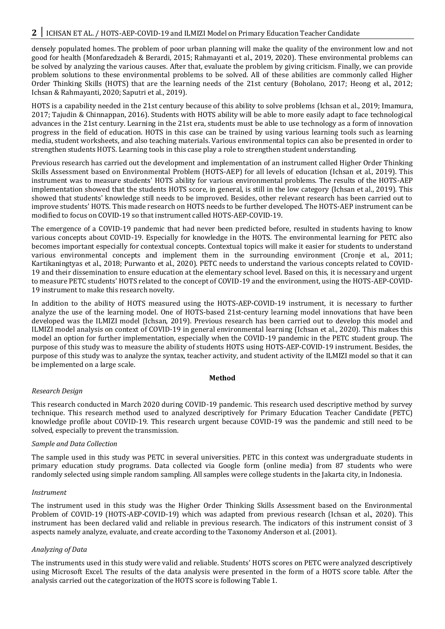# 2 I ICHSAN ET AL. / HOTS-AEP-COVID-19 and ILMIZI Model on Primary Education Teacher Candidate

densely populated homes. The problem of poor urban planning will make the quality of the environment low and not good for health (Monfaredzadeh & Berardi, 2015; Rahmayanti et al., 2019, 2020). These environmental problems can be solved by analyzing the various causes. After that, evaluate the problem by giving criticism. Finally, we can provide problem solutions to these environmental problems to be solved. All of these abilities are commonly called Higher Order Thinking Skills (HOTS) that are the learning needs of the 21st century (Boholano, 2017; Heong et al., 2012; Ichsan & Rahmayanti, 2020; Saputri et al., 2019).

HOTS is a capability needed in the 21st century because of this ability to solve problems (Ichsan et al., 2019; Imamura, 2017; Tajudin & Chinnappan, 2016). Students with HOTS ability will be able to more easily adapt to face technological advances in the 21st century. Learning in the 21st era, students must be able to use technology as a form of innovation progress in the field of education. HOTS in this case can be trained by using various learning tools such as learning media, student worksheets, and also teaching materials. Various environmental topics can also be presented in order to strengthen students HOTS. Learning tools in this case play a role to strengthen student understanding.

Previous research has carried out the development and implementation of an instrument called Higher Order Thinking Skills Assessment based on Environmental Problem (HOTS-AEP) for all levels of education (Ichsan et al., 2019). This instrument was to measure students' HOTS ability for various environmental problems. The results of the HOTS-AEP implementation showed that the students HOTS score, in general, is still in the low category (Ichsan et al., 2019). This showed that students' knowledge still needs to be improved. Besides, other relevant research has been carried out to improve students' HOTS. This made research on HOTS needs to be further developed. The HOTS-AEP instrument can be modified to focus on COVID-19 so that instrument called HOTS-AEP-COVID-19.

The emergence of a COVID-19 pandemic that had never been predicted before, resulted in students having to know various concepts about COVID-19. Especially for knowledge in the HOTS. The environmental learning for PETC also becomes important especially for contextual concepts. Contextual topics will make it easier for students to understand various environmental concepts and implement them in the surrounding environment (Cronje et al., 2011; Kartikaningtyas et al., 2018; Purwanto et al., 2020). PETC needs to understand the various concepts related to COVID-19 and their dissemination to ensure education at the elementary school level. Based on this, it is necessary and urgent to measure PETC students' HOTS related to the concept of COVID-19 and the environment, using the HOTS-AEP-COVID-19 instrument to make this research novelty.

In addition to the ability of HOTS measured using the HOTS-AEP-COVID-19 instrument, it is necessary to further analyze the use of the learning model. One of HOTS-based 21st-century learning model innovations that have been developed was the ILMIZI model (Ichsan, 2019). Previous research has been carried out to develop this model and ILMIZI model analysis on context of COVID-19 in general environmental learning (Ichsan et al., 2020). This makes this model an option for further implementation, especially when the COVID-19 pandemic in the PETC student group. The purpose of this study was to measure the ability of students HOTS using HOTS-AEP-COVID-19 instrument. Besides, the purpose of this study was to analyze the syntax, teacher activity, and student activity of the ILMIZI model so that it can be implemented on a large scale.

## **Method**

## *Research Design*

This research conducted in March 2020 during COVID-19 pandemic. This research used descriptive method by survey technique. This research method used to analyzed descriptively for Primary Education Teacher Candidate (PETC) knowledge profile about COVID-19. This research urgent because COVID-19 was the pandemic and still need to be solved, especially to prevent the transmission.

## *Sample and Data Collection*

The sample used in this study was PETC in several universities. PETC in this context was undergraduate students in primary education study programs. Data collected via Google form (online media) from 87 students who were randomly selected using simple random sampling. All samples were college students in the Jakarta city, in Indonesia.

## *Instrument*

The instrument used in this study was the Higher Order Thinking Skills Assessment based on the Environmental Problem of COVID-19 (HOTS-AEP-COVID-19) which was adapted from previous research (Ichsan et al., 2020). This instrument has been declared valid and reliable in previous research. The indicators of this instrument consist of 3 aspects namely analyze, evaluate, and create according to the Taxonomy Anderson et al. (2001).

## *Analyzing of Data*

The instruments used in this study were valid and reliable. Students' HOTS scores on PETC were analyzed descriptively using Microsoft Excel. The results of the data analysis were presented in the form of a HOTS score table. After the analysis carried out the categorization of the HOTS score is following Table 1.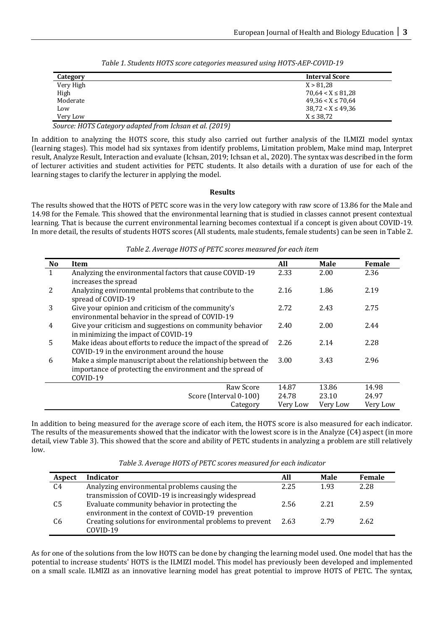| Category  | <b>Interval Score</b>  |
|-----------|------------------------|
| Very High | X > 81.28              |
| High      | $70.64 < X \leq 81.28$ |
| Moderate  | $49.36 < X \le 70.64$  |
| Low       | $38,72 < X \le 49,36$  |
| Very Low  | $X \le 38,72$          |

*Table 1. Students HOTS score categories measured using HOTS-AEP-COVID-19*

*Source: HOTS Category adapted from Ichsan et al. (2019)*

In addition to analyzing the HOTS score, this study also carried out further analysis of the ILMIZI model syntax (learning stages). This model had six syntaxes from identify problems, Limitation problem, Make mind map, Interpret result, Analyze Result, Interaction and evaluate (Ichsan, 2019; Ichsan et al., 2020). The syntax was described in the form of lecturer activities and student activities for PETC students. It also details with a duration of use for each of the learning stages to clarify the lecturer in applying the model.

# **Results**

The results showed that the HOTS of PETC score was in the very low category with raw score of 13.86 for the Male and 14.98 for the Female. This showed that the environmental learning that is studied in classes cannot present contextual learning. That is because the current environmental learning becomes contextual if a concept is given about COVID-19. In more detail, the results of students HOTS scores (All students, male students, female students) can be seen in Table 2.

*Table 2. Average HOTS of PETC scores measured for each item*

| <b>No</b>      | Item                                                                                                                                  | All      | <b>Male</b> | Female   |
|----------------|---------------------------------------------------------------------------------------------------------------------------------------|----------|-------------|----------|
| 1              | Analyzing the environmental factors that cause COVID-19<br>increases the spread                                                       | 2.33     | 2.00        | 2.36     |
| 2              | Analyzing environmental problems that contribute to the<br>spread of COVID-19                                                         |          | 1.86        | 2.19     |
| 3              | Give your opinion and criticism of the community's<br>environmental behavior in the spread of COVID-19                                |          | 2.43        | 2.75     |
| $\overline{4}$ | Give your criticism and suggestions on community behavior<br>in minimizing the impact of COVID-19                                     |          | 2.00        | 2.44     |
| 5              | Make ideas about efforts to reduce the impact of the spread of<br>COVID-19 in the environment around the house                        |          | 2.14        | 2.28     |
| 6              | Make a simple manuscript about the relationship between the<br>importance of protecting the environment and the spread of<br>COVID-19 |          | 3.43        | 2.96     |
|                | Raw Score                                                                                                                             | 14.87    | 13.86       | 14.98    |
|                | Score (Interval 0-100)                                                                                                                | 24.78    | 23.10       | 24.97    |
|                | Category                                                                                                                              | Very Low | Very Low    | Very Low |

In addition to being measured for the average score of each item, the HOTS score is also measured for each indicator. The results of the measurements showed that the indicator with the lowest score is in the Analyze (C4) aspect (in more detail, view Table 3). This showed that the score and ability of PETC students in analyzing a problem are still relatively low.

| Aspect         | Indicator                                                | All  | <b>Male</b> | Female |
|----------------|----------------------------------------------------------|------|-------------|--------|
| C4             | Analyzing environmental problems causing the             | 2.25 | 1.93        | 2.28   |
|                | transmission of COVID-19 is increasingly widespread      |      |             |        |
| C5             | Evaluate community behavior in protecting the            | 2.56 | 2.21        | 2.59   |
|                | environment in the context of COVID-19 prevention        |      |             |        |
| C <sub>6</sub> | Creating solutions for environmental problems to prevent | 2.63 | 2.79        | 2.62   |
|                | COVID-19                                                 |      |             |        |

*Table 3. Average HOTS of PETC scores measured for each indicator*

As for one of the solutions from the low HOTS can be done by changing the learning model used. One model that has the potential to increase students' HOTS is the ILMIZI model. This model has previously been developed and implemented on a small scale. ILMIZI as an innovative learning model has great potential to improve HOTS of PETC. The syntax,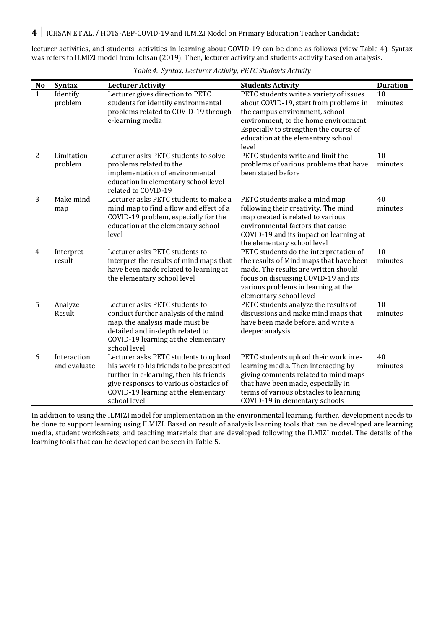lecturer activities, and students' activities in learning about COVID-19 can be done as follows (view Table 4). Syntax was refers to ILMIZI model from Ichsan (2019). Then, lecturer activity and students activity based on analysis.

| N <sub>o</sub> | <b>Syntax</b>               | <b>Lecturer Activity</b>                                                                                                                                                                                                     | <b>Students Activity</b>                                                                                                                                                                                                                              | <b>Duration</b> |
|----------------|-----------------------------|------------------------------------------------------------------------------------------------------------------------------------------------------------------------------------------------------------------------------|-------------------------------------------------------------------------------------------------------------------------------------------------------------------------------------------------------------------------------------------------------|-----------------|
| 1              | Identify<br>problem         | Lecturer gives direction to PETC<br>students for identify environmental<br>problems related to COVID-19 through<br>e-learning media                                                                                          | PETC students write a variety of issues<br>about COVID-19, start from problems in<br>the campus environment, school<br>environment, to the home environment.<br>Especially to strengthen the course of<br>education at the elementary school<br>level | 10<br>minutes   |
| 2              | Limitation<br>problem       | Lecturer asks PETC students to solve<br>problems related to the<br>implementation of environmental<br>education in elementary school level<br>related to COVID-19                                                            | PETC students write and limit the<br>problems of various problems that have<br>been stated before                                                                                                                                                     | 10<br>minutes   |
| 3              | Make mind<br>map            | Lecturer asks PETC students to make a<br>mind map to find a flow and effect of a<br>COVID-19 problem, especially for the<br>education at the elementary school<br>level                                                      | PETC students make a mind map<br>following their creativity. The mind<br>map created is related to various<br>environmental factors that cause<br>COVID-19 and its impact on learning at<br>the elementary school level                               | 40<br>minutes   |
| 4              | Interpret<br>result         | Lecturer asks PETC students to<br>interpret the results of mind maps that<br>have been made related to learning at<br>the elementary school level                                                                            | PETC students do the interpretation of<br>the results of Mind maps that have been<br>made. The results are written should<br>focus on discussing COVID-19 and its<br>various problems in learning at the<br>elementary school level                   | 10<br>minutes   |
| 5              | Analyze<br>Result           | Lecturer asks PETC students to<br>conduct further analysis of the mind<br>map, the analysis made must be<br>detailed and in-depth related to<br>COVID-19 learning at the elementary<br>school level                          | PETC students analyze the results of<br>discussions and make mind maps that<br>have been made before, and write a<br>deeper analysis                                                                                                                  | 10<br>minutes   |
| 6              | Interaction<br>and evaluate | Lecturer asks PETC students to upload<br>his work to his friends to be presented<br>further in e-learning, then his friends<br>give responses to various obstacles of<br>COVID-19 learning at the elementary<br>school level | PETC students upload their work in e-<br>learning media. Then interacting by<br>giving comments related to mind maps<br>that have been made, especially in<br>terms of various obstacles to learning<br>COVID-19 in elementary schools                | 40<br>minutes   |

*Table 4. Syntax, Lecturer Activity, PETC Students Activity*

In addition to using the ILMIZI model for implementation in the environmental learning, further, development needs to be done to support learning using ILMIZI. Based on result of analysis learning tools that can be developed are learning media, student worksheets, and teaching materials that are developed following the ILMIZI model. The details of the learning tools that can be developed can be seen in Table 5.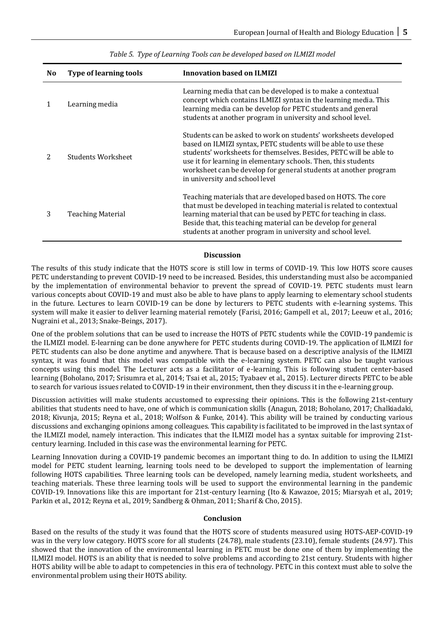| N <sub>0</sub> | <b>Type of learning tools</b> | <b>Innovation based on ILMIZI</b>                                                                                                                                                                                                                                                                                                                                                |
|----------------|-------------------------------|----------------------------------------------------------------------------------------------------------------------------------------------------------------------------------------------------------------------------------------------------------------------------------------------------------------------------------------------------------------------------------|
| 1              | Learning media                | Learning media that can be developed is to make a contextual<br>concept which contains ILMIZI syntax in the learning media. This<br>learning media can be develop for PETC students and general<br>students at another program in university and school level.                                                                                                                   |
|                | Students Worksheet            | Students can be asked to work on students' worksheets developed<br>based on ILMIZI syntax, PETC students will be able to use these<br>students' worksheets for themselves. Besides, PETC will be able to<br>use it for learning in elementary schools. Then, this students<br>worksheet can be develop for general students at another program<br>in university and school level |
| 3              | Teaching Material             | Teaching materials that are developed based on HOTS. The core<br>that must be developed in teaching material is related to contextual<br>learning material that can be used by PETC for teaching in class.<br>Beside that, this teaching material can be develop for general<br>students at another program in university and school level.                                      |

*Table 5. Type of Learning Tools can be developed based on ILMIZI model*

## **Discussion**

The results of this study indicate that the HOTS score is still low in terms of COVID-19. This low HOTS score causes PETC understanding to prevent COVID-19 need to be increased. Besides, this understanding must also be accompanied by the implementation of environmental behavior to prevent the spread of COVID-19. PETC students must learn various concepts about COVID-19 and must also be able to have plans to apply learning to elementary school students in the future. Lectures to learn COVID-19 can be done by lecturers to PETC students with e-learning systems. This system will make it easier to deliver learning material remotely (Farisi, 2016; Gampell et al., 2017; Leeuw et al., 2016; Nugraini et al., 2013; Snake-Beings, 2017).

One of the problem solutions that can be used to increase the HOTS of PETC students while the COVID-19 pandemic is the ILMIZI model. E-learning can be done anywhere for PETC students during COVID-19. The application of ILMIZI for PETC students can also be done anytime and anywhere. That is because based on a descriptive analysis of the ILMIZI syntax, it was found that this model was compatible with the e-learning system. PETC can also be taught various concepts using this model. The Lecturer acts as a facilitator of e-learning. This is following student center-based learning (Boholano, 2017; Srisumra et al., 2014; Tsai et al., 2015; Tyabaev et al., 2015). Lecturer directs PETC to be able to search for various issues related to COVID-19 in their environment, then they discuss it in the e-learning group.

Discussion activities will make students accustomed to expressing their opinions. This is the following 21st-century abilities that students need to have, one of which is communication skills (Anagun, 2018; Boholano, 2017; Chalkiadaki, 2018; Kivunja, 2015; Reyna et al., 2018; Wolfson & Funke, 2014). This ability will be trained by conducting various discussions and exchanging opinions among colleagues. This capability is facilitated to be improved in the last syntax of the ILMIZI model, namely interaction. This indicates that the ILMIZI model has a syntax suitable for improving 21stcentury learning. Included in this case was the environmental learning for PETC.

Learning Innovation during a COVID-19 pandemic becomes an important thing to do. In addition to using the ILMIZI model for PETC student learning, learning tools need to be developed to support the implementation of learning following HOTS capabilities. Three learning tools can be developed, namely learning media, student worksheets, and teaching materials. These three learning tools will be used to support the environmental learning in the pandemic COVID-19. Innovations like this are important for 21st-century learning (Ito & Kawazoe, 2015; Miarsyah et al., 2019; Parkin et al., 2012; Reyna et al., 2019; Sandberg & Ohman, 2011; Sharif & Cho, 2015).

# **Conclusion**

Based on the results of the study it was found that the HOTS score of students measured using HOTS-AEP-COVID-19 was in the very low category. HOTS score for all students (24.78), male students (23.10), female students (24.97). This showed that the innovation of the environmental learning in PETC must be done one of them by implementing the ILMIZI model. HOTS is an ability that is needed to solve problems and according to 21st century. Students with higher HOTS ability will be able to adapt to competencies in this era of technology. PETC in this context must able to solve the environmental problem using their HOTS ability.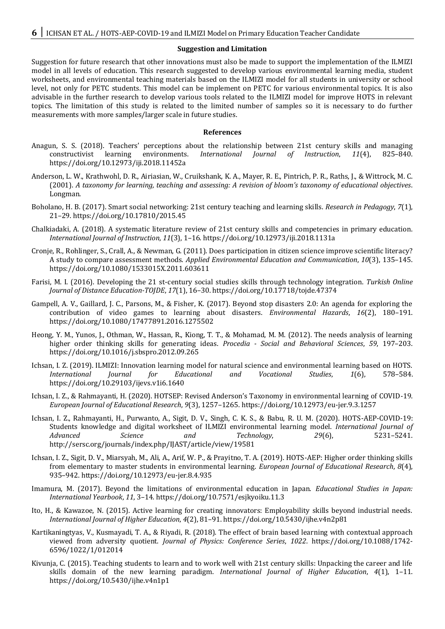#### **Suggestion and Limitation**

Suggestion for future research that other innovations must also be made to support the implementation of the ILMIZI model in all levels of education. This research suggested to develop various environmental learning media, student worksheets, and environmental teaching materials based on the ILMIZI model for all students in university or school level, not only for PETC students. This model can be implement on PETC for various environmental topics. It is also advisable in the further research to develop various tools related to the ILMIZI model for improve HOTS in relevant topics. The limitation of this study is related to the limited number of samples so it is necessary to do further measurements with more samples/larger scale in future studies.

#### **References**

- Anagun, S. S. (2018). Teachers' perceptions about the relationship between 21st century skills and managing constructivist learning environments. *International Journal of Instruction*, *11*(4), 825–840. https://doi.org/10.12973/iji.2018.11452a
- Anderson, L. W., Krathwohl, D. R., Airiasian, W., Cruikshank, K. A., Mayer, R. E., Pintrich, P. R., Raths, J., & Wittrock, M. C. (2001). *A taxonomy for learning, teaching and assessing: A revision of bloom's taxonomy of educational objectives*. Longman.
- Boholano, H. B. (2017). Smart social networking: 21st century teaching and learning skills. *Research in Pedagogy*, *7*(1), 21–29. https://doi.org/10.17810/2015.45
- Chalkiadaki, A. (2018). A systematic literature review of 21st century skills and competencies in primary education. *International Journal of Instruction*, *11*(3), 1–16. https://doi.org/10.12973/iji.2018.1131a
- Cronje, R., Rohlinger, S., Crall, A., & Newman, G. (2011). Does participation in citizen science improve scientific literacy? A study to compare assessment methods. *Applied Environmental Education and Communication*, *10*(3), 135–145. https://doi.org/10.1080/1533015X.2011.603611
- Farisi, M. I. (2016). Developing the 21 st-century social studies skills through technology integration. *Turkish Online Journal of Distance Education-TOJDE*, *17*(1), 16–30. https://doi.org/10.17718/tojde.47374
- Gampell, A. V., Gaillard, J. C., Parsons, M., & Fisher, K. (2017). Beyond stop disasters 2.0: An agenda for exploring the contribution of video games to learning about disasters. *Environmental Hazards*, *16*(2), 180–191. https://doi.org/10.1080/17477891.2016.1275502
- Heong, Y. M., Yunos, J., Othman, W., Hassan, R., Kiong, T. T., & Mohamad, M. M. (2012). The needs analysis of learning higher order thinking skills for generating ideas. *Procedia - Social and Behavioral Sciences*, *59*, 197–203. https://doi.org/10.1016/j.sbspro.2012.09.265
- Ichsan, I. Z. (2019). ILMIZI: Innovation learning model for natural science and environmental learning based on HOTS. *International Journal for Educational and Vocational Studies*, *1*(6), 578–584. https://doi.org/10.29103/ijevs.v1i6.1640
- Ichsan, I. Z., & Rahmayanti, H. (2020). HOTSEP: Revised Anderson's Taxonomy in environmental learning of COVID-19. *European Journal of Educational Research*, *9*(3), 1257–1265. https://doi.org/10.12973/eu-jer.9.3.1257
- Ichsan, I. Z., Rahmayanti, H., Purwanto, A., Sigit, D. V., Singh, C. K. S., & Babu, R. U. M. (2020). HOTS-AEP-COVID-19: Students knowledge and digital worksheet of ILMIZI environmental learning model. *International Journal of Advanced Science and Technology*, *29*(6), 5231–5241. http://sersc.org/journals/index.php/IJAST/article/view/19581
- Ichsan, I. Z., Sigit, D. V., Miarsyah, M., Ali, A., Arif, W. P., & Prayitno, T. A. (2019). HOTS-AEP: Higher order thinking skills from elementary to master students in environmental learning. *European Journal of Educational Research*, *8*(4), 935–942. https://doi.org/10.12973/eu-jer.8.4.935
- Imamura, M. (2017). Beyond the limitations of environmental education in Japan. *Educational Studies in Japan: International Yearbook*, *11*, 3–14. https://doi.org/10.7571/esjkyoiku.11.3
- Ito, H., & Kawazoe, N. (2015). Active learning for creating innovators: Employability skills beyond industrial needs. *International Journal of Higher Education*, *4*(2), 81–91. https://doi.org/10.5430/ijhe.v4n2p81
- Kartikaningtyas, V., Kusmayadi, T. A., & Riyadi, R. (2018). The effect of brain based learning with contextual approach viewed from adversity quotient. *Journal of Physics: Conference Series*, *1022*. https://doi.org/10.1088/1742- 6596/1022/1/012014
- Kivunja, C. (2015). Teaching students to learn and to work well with 21st century skills: Unpacking the career and life skills domain of the new learning paradigm. *International Journal of Higher Education*, *4*(1), 1–11. https://doi.org/10.5430/ijhe.v4n1p1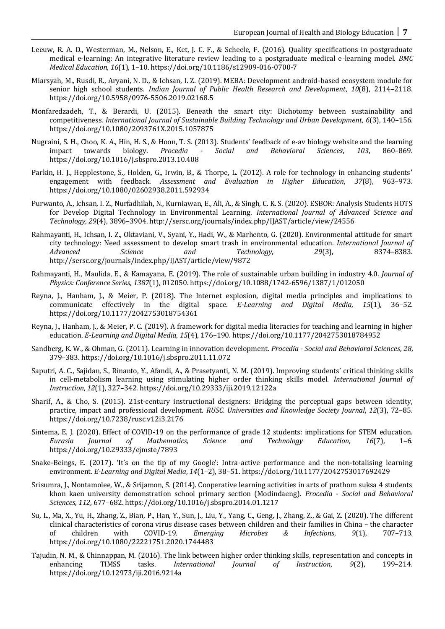- Leeuw, R. A. D., Westerman, M., Nelson, E., Ket, J. C. F., & Scheele, F. (2016). Quality specifications in postgraduate medical e-learning: An integrative literature review leading to a postgraduate medical e-learning model. *BMC Medical Education*, *16*(1), 1–10. https://doi.org/10.1186/s12909-016-0700-7
- Miarsyah, M., Rusdi, R., Aryani, N. D., & Ichsan, I. Z. (2019). MEBA: Development android-based ecosystem module for senior high school students. *Indian Journal of Public Health Research and Development*, *10*(8), 2114–2118. https://doi.org/10.5958/0976-5506.2019.02168.5
- Monfaredzadeh, T., & Berardi, U. (2015). Beneath the smart city: Dichotomy between sustainability and competitiveness. *International Journal of Sustainable Building Technology and Urban Development*, *6*(3), 140–156. https://doi.org/10.1080/2093761X.2015.1057875
- Nugraini, S. H., Choo, K. A., Hin, H. S., & Hoon, T. S. (2013). Students' feedback of e-av biology website and the learning impact towards biology. *Procedia - Social and Behavioral Sciences*, *103*, 860–869. https://doi.org/10.1016/j.sbspro.2013.10.408
- Parkin, H. J., Hepplestone, S., Holden, G., Irwin, B., & Thorpe, L. (2012). A role for technology in enhancing students' engagement with feedback. *Assessment and Evaluation in Higher Education*, *37*(8), 963–973. https://doi.org/10.1080/02602938.2011.592934
- Purwanto, A., Ichsan, I. Z., Nurfadhilah, N., Kurniawan, E., Ali, A., & Singh, C. K. S. (2020). ESBOR: Analysis Students HOTS for Develop Digital Technology in Environmental Learning. *International Journal of Advanced Science and Technology*, *29*(4), 3896–3904. http://sersc.org/journals/index.php/IJAST/article/view/24556
- Rahmayanti, H., Ichsan, I. Z., Oktaviani, V., Syani, Y., Hadi, W., & Marhento, G. (2020). Environmental attitude for smart city technology: Need assessment to develop smart trash in environmental education. *International Journal of Advanced Science and Technology*, *29*(3), 8374–8383. http://sersc.org/journals/index.php/IJAST/article/view/9872
- Rahmayanti, H., Maulida, E., & Kamayana, E. (2019). The role of sustainable urban building in industry 4.0. *Journal of Physics: Conference Series*, *1387*(1), 012050. https://doi.org/10.1088/1742-6596/1387/1/012050
- Reyna, J., Hanham, J., & Meier, P. (2018). The Internet explosion, digital media principles and implications to communicate effectively in the digital space. *E-Learning and Digital Media*, *15*(1), 36–52. https://doi.org/10.1177/2042753018754361
- Reyna, J., Hanham, J., & Meier, P. C. (2019). A framework for digital media literacies for teaching and learning in higher education. *E-Learning and Digital Media*, *15*(4), 176–190. https://doi.org/10.1177/2042753018784952
- Sandberg, K. W., & Ohman, G. (2011). Learning in innovation development. *Procedia - Social and Behavioral Sciences*, *28*, 379–383. https://doi.org/10.1016/j.sbspro.2011.11.072
- Saputri, A. C., Sajidan, S., Rinanto, Y., Afandi, A., & Prasetyanti, N. M. (2019). Improving students' critical thinking skills in cell-metabolism learning using stimulating higher order thinking skills model. *International Journal of Instruction*, *12*(1), 327–342. https://doi.org/10.29333/iji.2019.12122a
- Sharif, A., & Cho, S. (2015). 21st-century instructional designers: Bridging the perceptual gaps between identity, practice, impact and professional development. *RUSC. Universities and Knowledge Society Journal*, *12*(3), 72–85. https://doi.org/10.7238/rusc.v12i3.2176
- Sintema, E. J. (2020). Effect of COVID-19 on the performance of grade 12 students: implications for STEM education. *Eurasia Journal of Mathematics, Science and Technology Education*, *16*(7), 1–6. https://doi.org/10.29333/ejmste/7893
- Snake-Beings, E. (2017). 'It's on the tip of my Google': Intra-active performance and the non-totalising learning environment. *E-Learning and Digital Media*, *14*(1–2), 38–51. https://doi.org/10.1177/2042753017692429
- Srisumra, J., Nontamolee, W., & Srijamon, S. (2014). Cooperative learning activities in arts of prathom suksa 4 students khon kaen university demonstration school primary section (Modindaeng). *Procedia - Social and Behavioral Sciences*, *112*, 677–682. https://doi.org/10.1016/j.sbspro.2014.01.1217
- Su, L., Ma, X., Yu, H., Zhang, Z., Bian, P., Han, Y., Sun, J., Liu, Y., Yang, C., Geng, J., Zhang, Z., & Gai, Z. (2020). The different clinical characteristics of corona virus disease cases between children and their families in China – the character of children with COVID-19. *Emerging Microbes & Infections*, *9*(1), 707–713. https://doi.org/10.1080/22221751.2020.1744483
- Tajudin, N. M., & Chinnappan, M. (2016). The link between higher order thinking skills, representation and concepts in enhancing TIMSS tasks. *International Journal of Instruction*, *9*(2), 199–214. https://doi.org/10.12973/iji.2016.9214a